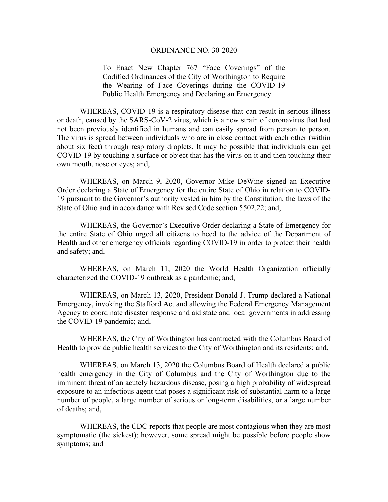To Enact New Chapter 767 "Face Coverings" of the Codified Ordinances of the City of Worthington to Require the Wearing of Face Coverings during the COVID-19 Public Health Emergency and Declaring an Emergency.

 WHEREAS, COVID-19 is a respiratory disease that can result in serious illness or death, caused by the SARS-CoV-2 virus, which is a new strain of coronavirus that had not been previously identified in humans and can easily spread from person to person. The virus is spread between individuals who are in close contact with each other (within about six feet) through respiratory droplets. It may be possible that individuals can get COVID-19 by touching a surface or object that has the virus on it and then touching their own mouth, nose or eyes; and,

WHEREAS, on March 9, 2020, Governor Mike DeWine signed an Executive Order declaring a State of Emergency for the entire State of Ohio in relation to COVID-19 pursuant to the Governor's authority vested in him by the Constitution, the laws of the State of Ohio and in accordance with Revised Code section 5502.22; and,

WHEREAS, the Governor's Executive Order declaring a State of Emergency for the entire State of Ohio urged all citizens to heed to the advice of the Department of Health and other emergency officials regarding COVID-19 in order to protect their health and safety; and,

WHEREAS, on March 11, 2020 the World Health Organization officially characterized the COVID-19 outbreak as a pandemic; and,

WHEREAS, on March 13, 2020, President Donald J. Trump declared a National Emergency, invoking the Stafford Act and allowing the Federal Emergency Management Agency to coordinate disaster response and aid state and local governments in addressing the COVID-19 pandemic; and,

WHEREAS, the City of Worthington has contracted with the Columbus Board of Health to provide public health services to the City of Worthington and its residents; and,

WHEREAS, on March 13, 2020 the Columbus Board of Health declared a public health emergency in the City of Columbus and the City of Worthington due to the imminent threat of an acutely hazardous disease, posing a high probability of widespread exposure to an infectious agent that poses a significant risk of substantial harm to a large number of people, a large number of serious or long-term disabilities, or a large number of deaths; and,

WHEREAS, the CDC reports that people are most contagious when they are most symptomatic (the sickest); however, some spread might be possible before people show symptoms; and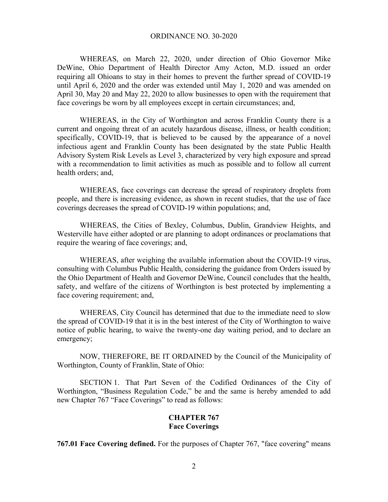WHEREAS, on March 22, 2020, under direction of Ohio Governor Mike DeWine, Ohio Department of Health Director Amy Acton, M.D. issued an order requiring all Ohioans to stay in their homes to prevent the further spread of COVID-19 until April 6, 2020 and the order was extended until May 1, 2020 and was amended on April 30, May 20 and May 22, 2020 to allow businesses to open with the requirement that face coverings be worn by all employees except in certain circumstances; and,

WHEREAS, in the City of Worthington and across Franklin County there is a current and ongoing threat of an acutely hazardous disease, illness, or health condition; specifically, COVID-19, that is believed to be caused by the appearance of a novel infectious agent and Franklin County has been designated by the state Public Health Advisory System Risk Levels as Level 3, characterized by very high exposure and spread with a recommendation to limit activities as much as possible and to follow all current health orders; and,

WHEREAS, face coverings can decrease the spread of respiratory droplets from people, and there is increasing evidence, as shown in recent studies, that the use of face coverings decreases the spread of COVID-19 within populations; and,

WHEREAS, the Cities of Bexley, Columbus, Dublin, Grandview Heights, and Westerville have either adopted or are planning to adopt ordinances or proclamations that require the wearing of face coverings; and,

WHEREAS, after weighing the available information about the COVID-19 virus, consulting with Columbus Public Health, considering the guidance from Orders issued by the Ohio Department of Health and Governor DeWine, Council concludes that the health, safety, and welfare of the citizens of Worthington is best protected by implementing a face covering requirement; and,

WHEREAS, City Council has determined that due to the immediate need to slow the spread of COVID-19 that it is in the best interest of the City of Worthington to waive notice of public hearing, to waive the twenty-one day waiting period, and to declare an emergency;

 NOW, THEREFORE, BE IT ORDAINED by the Council of the Municipality of Worthington, County of Franklin, State of Ohio:

 SECTION 1. That Part Seven of the Codified Ordinances of the City of Worthington, "Business Regulation Code," be and the same is hereby amended to add new Chapter 767 "Face Coverings" to read as follows:

# **CHAPTER 767 Face Coverings**

**767.01 Face Covering defined.** For the purposes of Chapter 767, "face covering" means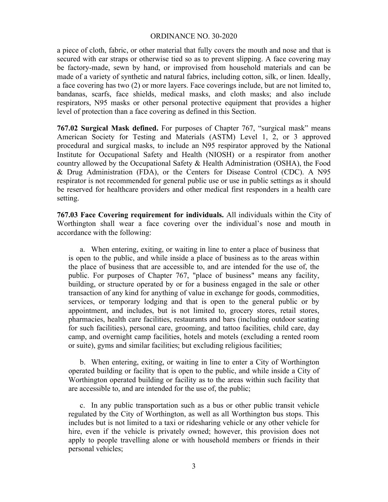a piece of cloth, fabric, or other material that fully covers the mouth and nose and that is secured with ear straps or otherwise tied so as to prevent slipping. A face covering may be factory-made, sewn by hand, or improvised from household materials and can be made of a variety of synthetic and natural fabrics, including cotton, silk, or linen. Ideally, a face covering has two (2) or more layers. Face coverings include, but are not limited to, bandanas, scarfs, face shields, medical masks, and cloth masks; and also include respirators, N95 masks or other personal protective equipment that provides a higher level of protection than a face covering as defined in this Section.

**767.02 Surgical Mask defined.** For purposes of Chapter 767, "surgical mask" means American Society for Testing and Materials (ASTM) Level 1, 2, or 3 approved procedural and surgical masks, to include an N95 respirator approved by the National Institute for Occupational Safety and Health (NIOSH) or a respirator from another country allowed by the Occupational Safety & Health Administration (OSHA), the Food & Drug Administration (FDA), or the Centers for Disease Control (CDC). A N95 respirator is not recommended for general public use or use in public settings as it should be reserved for healthcare providers and other medical first responders in a health care setting.

**767.03 Face Covering requirement for individuals.** All individuals within the City of Worthington shall wear a face covering over the individual's nose and mouth in accordance with the following:

a. When entering, exiting, or waiting in line to enter a place of business that is open to the public, and while inside a place of business as to the areas within the place of business that are accessible to, and are intended for the use of, the public. For purposes of Chapter 767, "place of business" means any facility, building, or structure operated by or for a business engaged in the sale or other transaction of any kind for anything of value in exchange for goods, commodities, services, or temporary lodging and that is open to the general public or by appointment, and includes, but is not limited to, grocery stores, retail stores, pharmacies, health care facilities, restaurants and bars (including outdoor seating for such facilities), personal care, grooming, and tattoo facilities, child care, day camp, and overnight camp facilities, hotels and motels (excluding a rented room or suite), gyms and similar facilities; but excluding religious facilities;

b. When entering, exiting, or waiting in line to enter a City of Worthington operated building or facility that is open to the public, and while inside a City of Worthington operated building or facility as to the areas within such facility that are accessible to, and are intended for the use of, the public;

c. In any public transportation such as a bus or other public transit vehicle regulated by the City of Worthington, as well as all Worthington bus stops. This includes but is not limited to a taxi or ridesharing vehicle or any other vehicle for hire, even if the vehicle is privately owned; however, this provision does not apply to people travelling alone or with household members or friends in their personal vehicles;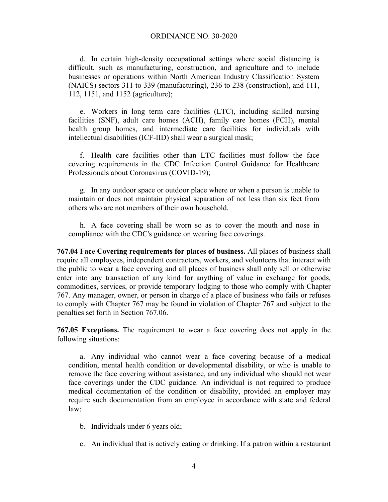d. In certain high-density occupational settings where social distancing is difficult, such as manufacturing, construction, and agriculture and to include businesses or operations within North American Industry Classification System (NAICS) sectors 311 to 339 (manufacturing), 236 to 238 (construction), and 111, 112, 1151, and 1152 (agriculture);

e. Workers in long term care facilities (LTC), including skilled nursing facilities (SNF), adult care homes (ACH), family care homes (FCH), mental health group homes, and intermediate care facilities for individuals with intellectual disabilities (ICF-IID) shall wear a surgical mask;

f. Health care facilities other than LTC facilities must follow the face covering requirements in the CDC Infection Control Guidance for Healthcare Professionals about Coronavirus (COVID-19);

g. In any outdoor space or outdoor place where or when a person is unable to maintain or does not maintain physical separation of not less than six feet from others who are not members of their own household.

h. A face covering shall be worn so as to cover the mouth and nose in compliance with the CDC's guidance on wearing face coverings.

**767.04 Face Covering requirements for places of business.** All places of business shall require all employees, independent contractors, workers, and volunteers that interact with the public to wear a face covering and all places of business shall only sell or otherwise enter into any transaction of any kind for anything of value in exchange for goods, commodities, services, or provide temporary lodging to those who comply with Chapter 767. Any manager, owner, or person in charge of a place of business who fails or refuses to comply with Chapter 767 may be found in violation of Chapter 767 and subject to the penalties set forth in Section 767.06.

**767.05 Exceptions.** The requirement to wear a face covering does not apply in the following situations:

a. Any individual who cannot wear a face covering because of a medical condition, mental health condition or developmental disability, or who is unable to remove the face covering without assistance, and any individual who should not wear face coverings under the CDC guidance. An individual is not required to produce medical documentation of the condition or disability, provided an employer may require such documentation from an employee in accordance with state and federal law;

- b. Individuals under 6 years old;
- c. An individual that is actively eating or drinking. If a patron within a restaurant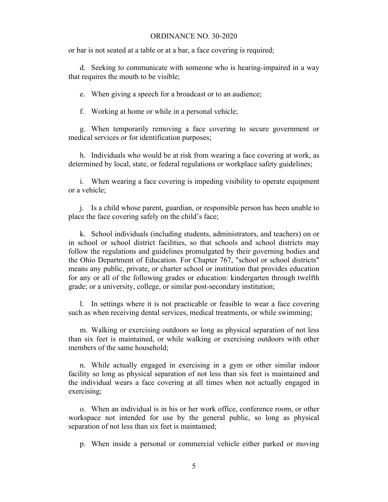or bar is not seated at a table or at a bar, a face covering is required;

d. Seeking to communicate with someone who is hearing-impaired in a way that requires the mouth to be visible;

e. When giving a speech for a broadcast or to an audience;

f. Working at home or while in a personal vehicle;

g. When temporarily removing a face covering to secure government or medical services or for identification purposes;

h. Individuals who would be at risk from wearing a face covering at work, as determined by local, state, or federal regulations or workplace safety guidelines;

i. When wearing a face covering is impeding visibility to operate equipment or a vehicle;

j. Is a child whose parent, guardian, or responsible person has been unable to place the face covering safely on the child's face;

k. School individuals (including students, administrators, and teachers) on or in school or school district facilities, so that schools and school districts may follow the regulations and guidelines promulgated by their governing bodies and the Ohio Department of Education. For Chapter 767, "school or school districts" means any public, private, or charter school or institution that provides education for any or all of the following grades or education: kindergarten through twelfth grade; or a university, college, or similar post-secondary institution;

l. In settings where it is not practicable or feasible to wear a face covering such as when receiving dental services, medical treatments, or while swimming;

m. Walking or exercising outdoors so long as physical separation of not less than six feet is maintained, or while walking or exercising outdoors with other members of the same household;

n. While actually engaged in exercising in a gym or other similar indoor facility so long as physical separation of not less than six feet is maintained and the individual wears a face covering at all times when not actually engaged in exercising;

o. When an individual is in his or her work office, conference room, or other workspace not intended for use by the general public, so long as physical separation of not less than six feet is maintained;

p. When inside a personal or commercial vehicle either parked or moving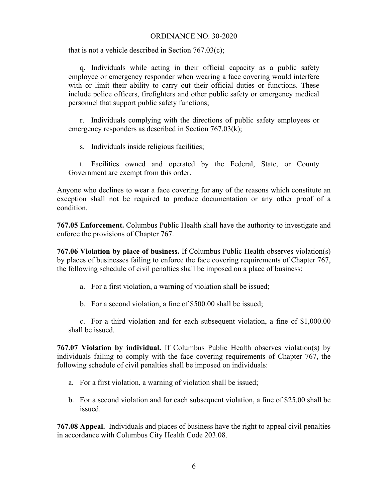that is not a vehicle described in Section 767.03(c);

q. Individuals while acting in their official capacity as a public safety employee or emergency responder when wearing a face covering would interfere with or limit their ability to carry out their official duties or functions. These include police officers, firefighters and other public safety or emergency medical personnel that support public safety functions;

r. Individuals complying with the directions of public safety employees or emergency responders as described in Section 767.03(k);

s. Individuals inside religious facilities;

t. Facilities owned and operated by the Federal, State, or County Government are exempt from this order.

Anyone who declines to wear a face covering for any of the reasons which constitute an exception shall not be required to produce documentation or any other proof of a condition.

**767.05 Enforcement.** Columbus Public Health shall have the authority to investigate and enforce the provisions of Chapter 767.

**767.06 Violation by place of business.** If Columbus Public Health observes violation(s) by places of businesses failing to enforce the face covering requirements of Chapter 767, the following schedule of civil penalties shall be imposed on a place of business:

- a. For a first violation, a warning of violation shall be issued;
- b. For a second violation, a fine of \$500.00 shall be issued;

c. For a third violation and for each subsequent violation, a fine of \$1,000.00 shall be issued.

**767.07 Violation by individual.** If Columbus Public Health observes violation(s) by individuals failing to comply with the face covering requirements of Chapter 767, the following schedule of civil penalties shall be imposed on individuals:

- a. For a first violation, a warning of violation shall be issued;
- b. For a second violation and for each subsequent violation, a fine of \$25.00 shall be issued.

**767.08 Appeal.** Individuals and places of business have the right to appeal civil penalties in accordance with Columbus City Health Code 203.08.